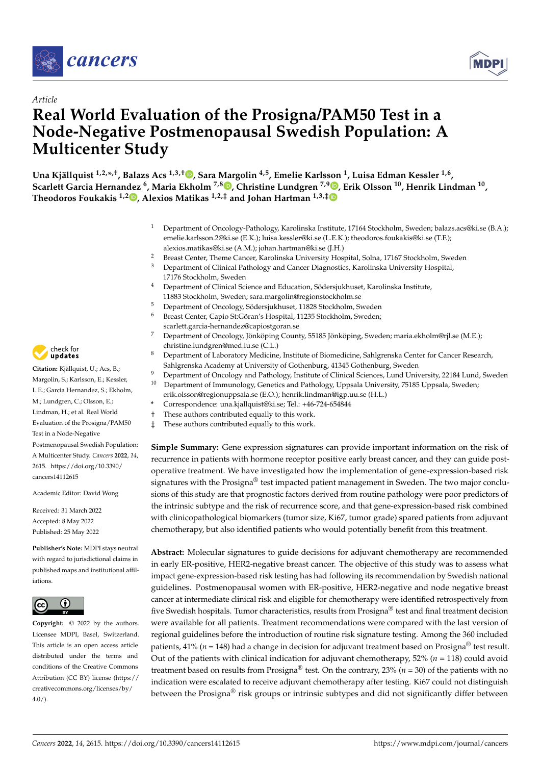



# *Article* **Real World Evaluation of the Prosigna/PAM50 Test in a Node-Negative Postmenopausal Swedish Population: A Multicenter Study**

**Una Kjällquist 1,2,\* ,†, Balazs Acs 1,3,† [,](https://orcid.org/0000-0002-0972-4633) Sara Margolin 4,5, Emelie Karlsson <sup>1</sup> , Luisa Edman Kessler 1,6 , Scarlett Garcia Hernandez <sup>6</sup> , Maria Ekholm 7,8 [,](https://orcid.org/0000-0002-5553-5323) Christine Lundgren 7,9 [,](https://orcid.org/0000-0002-7880-2981) Erik Olsson <sup>10</sup>, Henrik Lindman <sup>10</sup> , Theodoros Foukakis 1,2 [,](https://orcid.org/0000-0001-8952-9987) Alexios Matikas 1,2,‡ and Johan Hartman 1,3,[‡](https://orcid.org/0000-0002-6500-8527)**

- <sup>1</sup> Department of Oncology-Pathology, Karolinska Institute, 17164 Stockholm, Sweden; balazs.acs@ki.se (B.A.); emelie.karlsson.2@ki.se (E.K.); luisa.kessler@ki.se (L.E.K.); theodoros.foukakis@ki.se (T.F.); alexios.matikas@ki.se (A.M.); johan.hartman@ki.se (J.H.)
- <sup>2</sup> Breast Center, Theme Cancer, Karolinska University Hospital, Solna, 17167 Stockholm, Sweden<br><sup>3</sup> Department of Clinical Bathology and Cancer Diagnostics, Karolingka University Hospital
- <sup>3</sup> Department of Clinical Pathology and Cancer Diagnostics, Karolinska University Hospital,
- 17176 Stockholm, Sweden <sup>4</sup> Department of Clinical Science and Education, Södersjukhuset, Karolinska Institute,
- 11883 Stockholm, Sweden; sara.margolin@regionstockholm.se
- <sup>5</sup> Department of Oncology, Södersjukhuset, 11828 Stockholm, Sweden
- <sup>6</sup> Breast Center, Capio St:Göran's Hospital, 11235 Stockholm, Sweden; scarlett.garcia-hernandez@capiostgoran.se
- <sup>7</sup> Department of Oncology, Jönköping County, 55185 Jönköping, Sweden; maria.ekholm@rjl.se (M.E.);
- christine.lundgren@med.lu.se (C.L.) <sup>8</sup> Department of Laboratory Medicine, Institute of Biomedicine, Sahlgrenska Center for Cancer Research, Sahlgrenska Academy at University of Gothenburg, 41345 Gothenburg, Sweden
- 9 Department of Oncology and Pathology, Institute of Clinical Sciences, Lund University, 22184 Lund, Sweden<br>9 Department of Oncology and Pathology, Institute of Clinical Sciences, Lund University, 22184 Lund, Sweden <sup>10</sup> Department of Immunology, Genetics and Pathology, Uppsala University, 75185 Uppsala, Sweden;
- erik.olsson@regionuppsala.se (E.O.); henrik.lindman@igp.uu.se (H.L.)
- **\*** Correspondence: una.kjallquist@ki.se; Tel.: +46-724-654844
- † These authors contributed equally to this work.
- ‡ These authors contributed equally to this work.

**Simple Summary:** Gene expression signatures can provide important information on the risk of recurrence in patients with hormone receptor positive early breast cancer, and they can guide postoperative treatment. We have investigated how the implementation of gene-expression-based risk signatures with the Prosigna® test impacted patient management in Sweden. The two major conclusions of this study are that prognostic factors derived from routine pathology were poor predictors of the intrinsic subtype and the risk of recurrence score, and that gene-expression-based risk combined with clinicopathological biomarkers (tumor size, Ki67, tumor grade) spared patients from adjuvant chemotherapy, but also identified patients who would potentially benefit from this treatment.

**Abstract:** Molecular signatures to guide decisions for adjuvant chemotherapy are recommended in early ER-positive, HER2-negative breast cancer. The objective of this study was to assess what impact gene-expression-based risk testing has had following its recommendation by Swedish national guidelines. Postmenopausal women with ER-positive, HER2-negative and node negative breast cancer at intermediate clinical risk and eligible for chemotherapy were identified retrospectively from five Swedish hospitals. Tumor characteristics, results from Prosigna® test and final treatment decision were available for all patients. Treatment recommendations were compared with the last version of regional guidelines before the introduction of routine risk signature testing. Among the 360 included patients, 41% (*n* = 148) had a change in decision for adjuvant treatment based on Prosigna® test result. Out of the patients with clinical indication for adjuvant chemotherapy, 52% (*n* = 118) could avoid treatment based on results from Prosigna® test. On the contrary, 23% (*n* = 30) of the patients with no indication were escalated to receive adjuvant chemotherapy after testing. Ki67 could not distinguish between the Prosigna $^{\circledR}$  risk groups or intrinsic subtypes and did not significantly differ between



**Citation:** Kjällquist, U.; Acs, B.; Margolin, S.; Karlsson, E.; Kessler, L.E.; Garcia Hernandez, S.; Ekholm, M.; Lundgren, C.; Olsson, E.; Lindman, H.; et al. Real World Evaluation of the Prosigna/PAM50 Test in a Node-Negative Postmenopausal Swedish Population: A Multicenter Study. *Cancers* **2022**, *14*, 2615. [https://doi.org/10.3390/](https://doi.org/10.3390/cancers14112615) [cancers14112615](https://doi.org/10.3390/cancers14112615)

Academic Editor: David Wong

Received: 31 March 2022 Accepted: 8 May 2022 Published: 25 May 2022

**Publisher's Note:** MDPI stays neutral with regard to jurisdictional claims in published maps and institutional affiliations.



**Copyright:** © 2022 by the authors. Licensee MDPI, Basel, Switzerland. This article is an open access article distributed under the terms and conditions of the Creative Commons Attribution (CC BY) license [\(https://](https://creativecommons.org/licenses/by/4.0/) [creativecommons.org/licenses/by/](https://creativecommons.org/licenses/by/4.0/)  $4.0/$ ).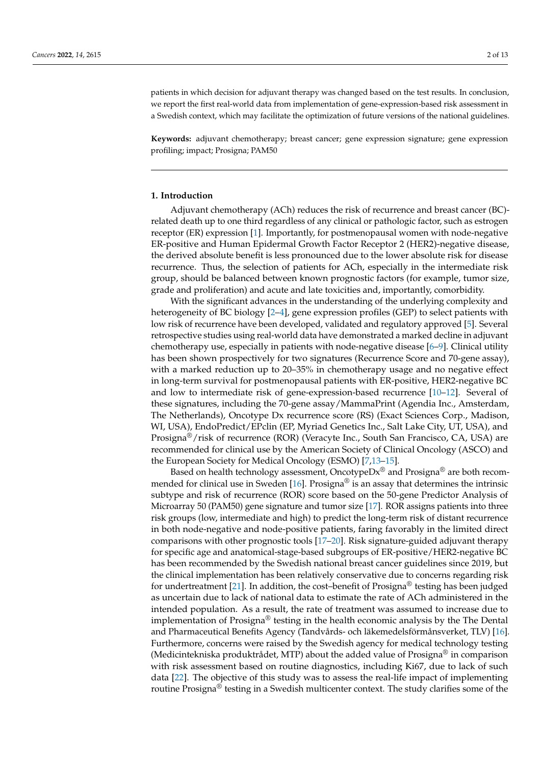patients in which decision for adjuvant therapy was changed based on the test results. In conclusion, we report the first real-world data from implementation of gene-expression-based risk assessment in a Swedish context, which may facilitate the optimization of future versions of the national guidelines.

**Keywords:** adjuvant chemotherapy; breast cancer; gene expression signature; gene expression profiling; impact; Prosigna; PAM50

# **1. Introduction**

Adjuvant chemotherapy (ACh) reduces the risk of recurrence and breast cancer (BC) related death up to one third regardless of any clinical or pathologic factor, such as estrogen receptor (ER) expression [\[1\]](#page-10-0). Importantly, for postmenopausal women with node-negative ER-positive and Human Epidermal Growth Factor Receptor 2 (HER2)-negative disease, the derived absolute benefit is less pronounced due to the lower absolute risk for disease recurrence. Thus, the selection of patients for ACh, especially in the intermediate risk group, should be balanced between known prognostic factors (for example, tumor size, grade and proliferation) and acute and late toxicities and, importantly, comorbidity.

With the significant advances in the understanding of the underlying complexity and heterogeneity of BC biology [\[2–](#page-10-1)[4\]](#page-10-2), gene expression profiles (GEP) to select patients with low risk of recurrence have been developed, validated and regulatory approved [\[5\]](#page-10-3). Several retrospective studies using real-world data have demonstrated a marked decline in adjuvant chemotherapy use, especially in patients with node-negative disease [\[6–](#page-10-4)[9\]](#page-10-5). Clinical utility has been shown prospectively for two signatures (Recurrence Score and 70-gene assay), with a marked reduction up to 20–35% in chemotherapy usage and no negative effect in long-term survival for postmenopausal patients with ER-positive, HER2-negative BC and low to intermediate risk of gene-expression-based recurrence [\[10–](#page-10-6)[12\]](#page-10-7). Several of these signatures, including the 70-gene assay/MammaPrint (Agendia Inc., Amsterdam, The Netherlands), Oncotype Dx recurrence score (RS) (Exact Sciences Corp., Madison, WI, USA), EndoPredict/EPclin (EP, Myriad Genetics Inc., Salt Lake City, UT, USA), and Prosigna®/risk of recurrence (ROR) (Veracyte Inc., South San Francisco, CA, USA) are recommended for clinical use by the American Society of Clinical Oncology (ASCO) and the European Society for Medical Oncology (ESMO) [\[7,](#page-10-8)[13](#page-10-9)[–15\]](#page-10-10).

Based on health technology assessment, Oncotype $Dx^{\circledR}$  and Prosigna<sup>®</sup> are both recom-mended for clinical use in Sweden [\[16\]](#page-10-11). Prosigna<sup>®</sup> is an assay that determines the intrinsic subtype and risk of recurrence (ROR) score based on the 50-gene Predictor Analysis of Microarray 50 (PAM50) gene signature and tumor size [\[17\]](#page-10-12). ROR assigns patients into three risk groups (low, intermediate and high) to predict the long-term risk of distant recurrence in both node-negative and node-positive patients, faring favorably in the limited direct comparisons with other prognostic tools [\[17–](#page-10-12)[20\]](#page-11-0). Risk signature-guided adjuvant therapy for specific age and anatomical-stage-based subgroups of ER-positive/HER2-negative BC has been recommended by the Swedish national breast cancer guidelines since 2019, but the clinical implementation has been relatively conservative due to concerns regarding risk for undertreatment [\[21\]](#page-11-1). In addition, the cost–benefit of Prosigna<sup>®</sup> testing has been judged as uncertain due to lack of national data to estimate the rate of ACh administered in the intended population. As a result, the rate of treatment was assumed to increase due to implementation of Prosigna® testing in the health economic analysis by the The Dental and Pharmaceutical Benefits Agency (Tandvårds- och läkemedelsförmånsverket, TLV) [\[16\]](#page-10-11). Furthermore, concerns were raised by the Swedish agency for medical technology testing (Medicintekniska produktrådet, MTP) about the added value of Prosigna<sup>®</sup> in comparison with risk assessment based on routine diagnostics, including Ki67, due to lack of such data [\[22\]](#page-11-2). The objective of this study was to assess the real-life impact of implementing routine Prosigna $^{\circledR}$  testing in a Swedish multicenter context. The study clarifies some of the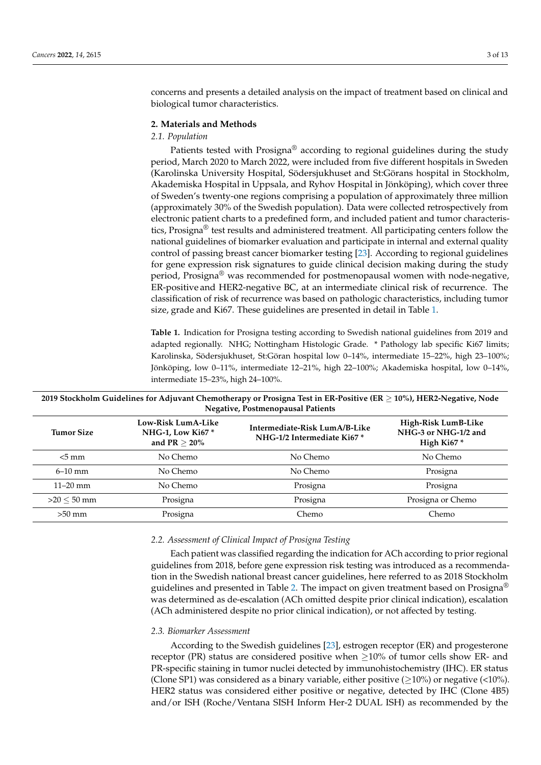concerns and presents a detailed analysis on the impact of treatment based on clinical and biological tumor characteristics.

#### **2. Materials and Methods**

#### *2.1. Population*

Patients tested with Prosigna® according to regional guidelines during the study period, March 2020 to March 2022, were included from five different hospitals in Sweden (Karolinska University Hospital, Södersjukhuset and St:Görans hospital in Stockholm, Akademiska Hospital in Uppsala, and Ryhov Hospital in Jönköping), which cover three of Sweden's twenty-one regions comprising a population of approximately three million (approximately 30% of the Swedish population). Data were collected retrospectively from electronic patient charts to a predefined form, and included patient and tumor characteristics, Prosigna® test results and administered treatment. All participating centers follow the national guidelines of biomarker evaluation and participate in internal and external quality control of passing breast cancer biomarker testing [\[23\]](#page-11-3). According to regional guidelines for gene expression risk signatures to guide clinical decision making during the study period, Prosigna® was recommended for postmenopausal women with node-negative, ER-positive and HER2-negative BC, at an intermediate clinical risk of recurrence. The classification of risk of recurrence was based on pathologic characteristics, including tumor size, grade and Ki67. These guidelines are presented in detail in Table [1.](#page-2-0)

<span id="page-2-0"></span>**Table 1.** Indication for Prosigna testing according to Swedish national guidelines from 2019 and adapted regionally. NHG; Nottingham Histologic Grade. \* Pathology lab specific Ki67 limits; Karolinska, Södersjukhuset, St:Göran hospital low 0–14%, intermediate 15–22%, high 23–100%; Jönköping, low 0–11%, intermediate 12–21%, high 22–100%; Akademiska hospital, low 0–14%, intermediate 15–23%, high 24–100%.

| <b>Negative, Postmenopausal Patients</b> |                                                                  |                                                             |                                                              |  |  |  |  |  |
|------------------------------------------|------------------------------------------------------------------|-------------------------------------------------------------|--------------------------------------------------------------|--|--|--|--|--|
| <b>Tumor Size</b>                        | Low-Risk LumA-Like<br><b>NHG-1, Low Ki67*</b><br>and $PR > 20\%$ | Intermediate-Risk LumA/B-Like<br>NHG-1/2 Intermediate Ki67* | High-Risk LumB-Like<br>NHG-3 or NHG-1/2 and<br>High Ki $67*$ |  |  |  |  |  |
| $<5$ mm                                  | No Chemo                                                         | No Chemo                                                    | No Chemo                                                     |  |  |  |  |  |
| $6 - 10$ mm                              | No Chemo                                                         | No Chemo                                                    | Prosigna                                                     |  |  |  |  |  |
| $11 - 20$ mm                             | No Chemo                                                         | Prosigna                                                    | Prosigna                                                     |  |  |  |  |  |
| $>20 < 50$ mm                            | Prosigna                                                         | Prosigna                                                    | Prosigna or Chemo                                            |  |  |  |  |  |
| $>50$ mm                                 | Prosigna                                                         | Chemo                                                       | Chemo                                                        |  |  |  |  |  |

# **2019 Stockholm Guidelines for Adjuvant Chemotherapy or Prosigna Test in ER-Positive (ER** ≥ **10%), HER2-Negative, Node**

# *2.2. Assessment of Clinical Impact of Prosigna Testing*

Each patient was classified regarding the indication for ACh according to prior regional guidelines from 2018, before gene expression risk testing was introduced as a recommendation in the Swedish national breast cancer guidelines, here referred to as 2018 Stockholm guidelines and presented in Table [2.](#page-3-0) The impact on given treatment based on Prosigna<sup>®</sup> was determined as de-escalation (ACh omitted despite prior clinical indication), escalation (ACh administered despite no prior clinical indication), or not affected by testing.

#### *2.3. Biomarker Assessment*

According to the Swedish guidelines [\[23\]](#page-11-3), estrogen receptor (ER) and progesterone receptor (PR) status are considered positive when  $\geq$ 10% of tumor cells show ER- and PR-specific staining in tumor nuclei detected by immunohistochemistry (IHC). ER status (Clone SP1) was considered as a binary variable, either positive ( $\geq$ 10%) or negative (<10%). HER2 status was considered either positive or negative, detected by IHC (Clone 4B5) and/or ISH (Roche/Ventana SISH Inform Her-2 DUAL ISH) as recommended by the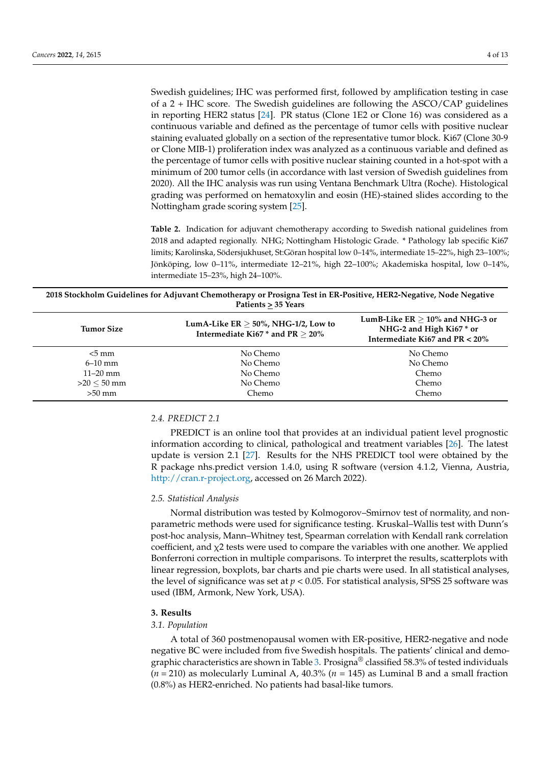Swedish guidelines; IHC was performed first, followed by amplification testing in case of a 2 + IHC score. The Swedish guidelines are following the ASCO/CAP guidelines in reporting HER2 status [\[24\]](#page-11-4). PR status (Clone 1E2 or Clone 16) was considered as a continuous variable and defined as the percentage of tumor cells with positive nuclear staining evaluated globally on a section of the representative tumor block. Ki67 (Clone 30-9 or Clone MIB-1) proliferation index was analyzed as a continuous variable and defined as the percentage of tumor cells with positive nuclear staining counted in a hot-spot with a minimum of 200 tumor cells (in accordance with last version of Swedish guidelines from 2020). All the IHC analysis was run using Ventana Benchmark Ultra (Roche). Histological grading was performed on hematoxylin and eosin (HE)-stained slides according to the Nottingham grade scoring system [\[25\]](#page-11-5).

<span id="page-3-0"></span>**Table 2.** Indication for adjuvant chemotherapy according to Swedish national guidelines from 2018 and adapted regionally. NHG; Nottingham Histologic Grade. \* Pathology lab specific Ki67 limits; Karolinska, Södersjukhuset, St:Göran hospital low 0–14%, intermediate 15–22%, high 23–100%; Jönköping, low 0–11%, intermediate 12–21%, high 22–100%; Akademiska hospital, low 0–14%, intermediate 15–23%, high 24–100%.

# **2018 Stockholm Guidelines for Adjuvant Chemotherapy or Prosigna Test in ER-Positive, HER2-Negative, Node Negative Patients > 35 Years**

| <b>Tumor Size</b> | LumA-Like $ER \geq 50\%$ , NHG-1/2, Low to<br>Intermediate Ki67 $*$ and PR $>$ 20% | LumB-Like $ER > 10\%$ and NHG-3 or<br>NHG-2 and High Ki67 * or<br>Intermediate Ki67 and $PR < 20\%$ |
|-------------------|------------------------------------------------------------------------------------|-----------------------------------------------------------------------------------------------------|
| $< 5 \text{ mm}$  | No Chemo                                                                           | No Chemo                                                                                            |
| $6 - 10$ mm       | No Chemo                                                                           | No Chemo                                                                                            |
| $11 - 20$ mm      | No Chemo                                                                           | Chemo                                                                                               |
| $>20 < 50$ mm     | No Chemo                                                                           | Chemo                                                                                               |
| $>50$ mm          | Chemo                                                                              | Chemo                                                                                               |

# *2.4. PREDICT 2.1*

PREDICT is an online tool that provides at an individual patient level prognostic information according to clinical, pathological and treatment variables [\[26\]](#page-11-6). The latest update is version 2.1 [\[27\]](#page-11-7). Results for the NHS PREDICT tool were obtained by the R package nhs.predict version 1.4.0, using R software (version 4.1.2, Vienna, Austria, [http://cran.r-project.org,](http:// cran.r-project.org) accessed on 26 March 2022).

#### *2.5. Statistical Analysis*

Normal distribution was tested by Kolmogorov–Smirnov test of normality, and nonparametric methods were used for significance testing. Kruskal–Wallis test with Dunn's post-hoc analysis, Mann–Whitney test, Spearman correlation with Kendall rank correlation coefficient, and  $\chi^2$  tests were used to compare the variables with one another. We applied Bonferroni correction in multiple comparisons. To interpret the results, scatterplots with linear regression, boxplots, bar charts and pie charts were used. In all statistical analyses, the level of significance was set at  $p < 0.05$ . For statistical analysis, SPSS 25 software was used (IBM, Armonk, New York, USA).

#### **3. Results**

# *3.1. Population*

A total of 360 postmenopausal women with ER-positive, HER2-negative and node negative BC were included from five Swedish hospitals. The patients' clinical and demo-graphic characteristics are shown in Table [3.](#page-4-0) Prosigna<sup>®</sup> classified 58.3% of tested individuals  $(n = 210)$  as molecularly Luminal A,  $40.3\%$   $(n = 145)$  as Luminal B and a small fraction (0.8%) as HER2-enriched. No patients had basal-like tumors.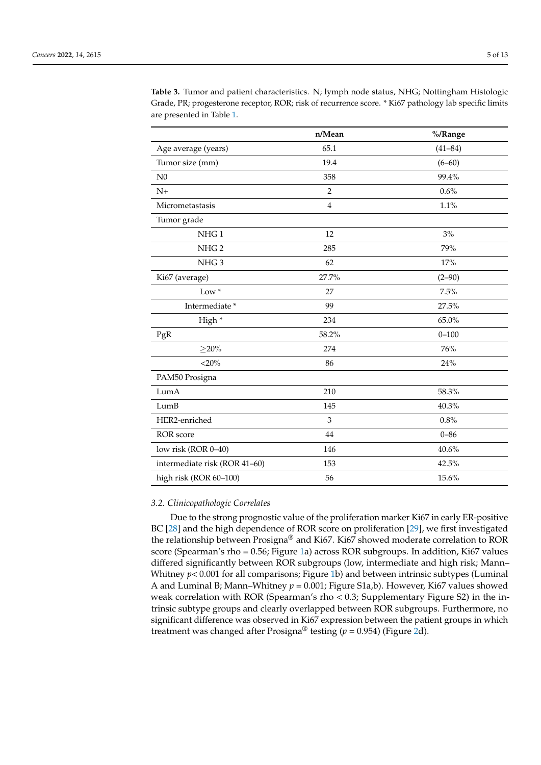|                               | n/Mean         | %/Range     |  |
|-------------------------------|----------------|-------------|--|
| Age average (years)           | 65.1           | $(41 - 84)$ |  |
| Tumor size (mm)               | 19.4           | $(6 - 60)$  |  |
| N <sub>0</sub>                | 358            | 99.4%       |  |
| $N+$                          | $\overline{2}$ | 0.6%        |  |
| Micrometastasis               | $\overline{4}$ | $1.1\%$     |  |
| Tumor grade                   |                |             |  |
| NHG <sub>1</sub>              | 12             | $3\%$       |  |
| NHG <sub>2</sub>              | 285            | 79%         |  |
| NHG <sub>3</sub>              | 62             | 17%         |  |
| Ki67 (average)                | 27.7%          | $(2 - 90)$  |  |
| Low <sup>*</sup>              | 27             | 7.5%        |  |
| Intermediate *                | 99             | 27.5%       |  |
| High*                         | 234            | 65.0%       |  |
| $\mathbf{PgR}$                | 58.2%          | $0 - 100$   |  |
| $>20\%$                       | 274            | 76%         |  |
| $<$ 20%                       | 86             | 24%         |  |
| PAM50 Prosigna                |                |             |  |
| LumA                          | 210            | 58.3%       |  |
| LumB                          | 145            | 40.3%       |  |
| HER2-enriched                 | $\mathfrak{Z}$ | 0.8%        |  |
| ROR score                     | 44             | $0 - 86$    |  |
| low risk (ROR 0-40)           | 146            | $40.6\%$    |  |
| intermediate risk (ROR 41-60) | 153            | 42.5%       |  |
| high risk (ROR 60-100)        | 56             | 15.6%       |  |

<span id="page-4-0"></span>**Table 3.** Tumor and patient characteristics. N; lymph node status, NHG; Nottingham Histologic Grade, PR; progesterone receptor, ROR; risk of recurrence score. \* Ki67 pathology lab specific limits are presented in Table [1.](#page-2-0)

## *3.2. Clinicopathologic Correlates*

Due to the strong prognostic value of the proliferation marker Ki67 in early ER-positive BC [\[28\]](#page-11-8) and the high dependence of ROR score on proliferation [\[29\]](#page-11-9), we first investigated the relationship between Prosigna® and Ki67. Ki67 showed moderate correlation to ROR score (Spearman's rho = 0.56; Figure [1a](#page-5-0)) across ROR subgroups. In addition, Ki67 values differed significantly between ROR subgroups (low, intermediate and high risk; Mann– Whitney  $p < 0.001$  for all comparisons; Figure [1b](#page-5-0)) and between intrinsic subtypes (Luminal A and Luminal B; Mann–Whitney *p* = 0.001; Figure S1a,b). However, Ki67 values showed weak correlation with ROR (Spearman's rho < 0.3; Supplementary Figure S2) in the intrinsic subtype groups and clearly overlapped between ROR subgroups. Furthermore, no significant difference was observed in Ki67 expression between the patient groups in which treatment was changed after Prosigna<sup>®</sup> testing ( $p = 0.954$ ) (Figure [2d](#page-5-1)).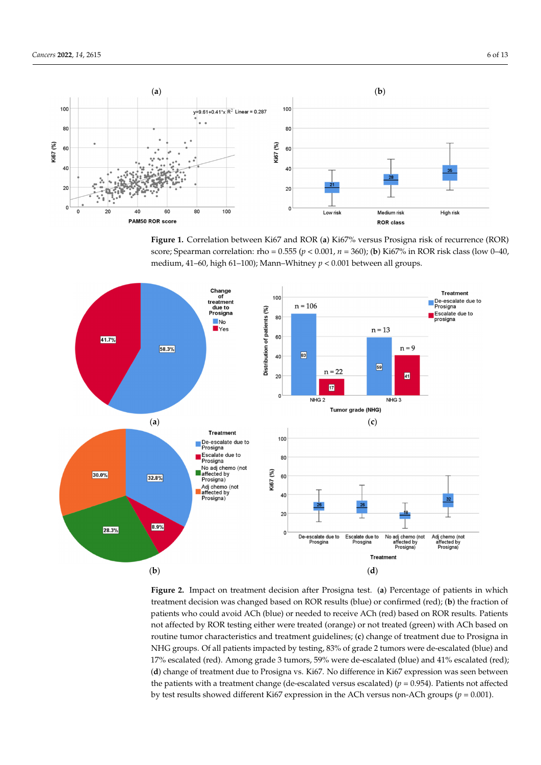

<span id="page-5-0"></span>*Cancers* **2022**, *14*, x FOR PEER REVIEW 6 of 12

<span id="page-5-1"></span>**Figure 1.** Correlation between Ki67 and ROR (**a**) Ki67% versus Prosigna risk of recurrence (ROR) **Figure 1.** Correlation between Ki67 and ROR (**a**) Ki67% versus Prosigna risk of recurrence (ROR) score; Spearman correlation: rho =  $0.555$  ( $p < 0.001$ ,  $n = 360$ ); (b) Ki67% in ROR risk class (low 0–40, medium, 41–60, high 61–100); Mann–Whitney  $p < 0.001$  between all groups. medium, 41–60, high 61–100); Mann–Whitney *p* < 0.001 between all groups.



Figure 2. Impact on treatment decision after Prosigna test. (a) Percentage of patients in which  $\frac{1}{2}$  could avoid avoid an ROR results (blue) or confirmed (red); (**b**) the fraction not affected by ROR testing either were treated (orange) or not treated (green) with ACh based on patients who could avoid ACh (blue) or needed to receive ACh (red) based on ROR results. Patients not affected by ROR testing either were treated (orange) or not treated (green) with ACh based on routine tumor characteristics and treatment guidelines; (c) change of treatment due to Prosigna in NHG groups. Of all patients impacted by testing, 83% of grade 2 tumors were de-escalated (blue) and 17% escalated (red). Among grade 3 tumors, 59% were de-escalated (blue) and 41% escalated (red); treatment decision was changed based on ROR results (blue) or confirmed (red); (**b**) the fraction of d) change of treatment due to Prosigna vs. Ki67. No difference in Ki67 expression was seen between the patients with a treatment change (de-escalated versus escalated)  $(p = 0.954)$ . Patients not affected by test results showed different Ki67 expression in the ACh versus non-ACh groups (*p* = 0.001).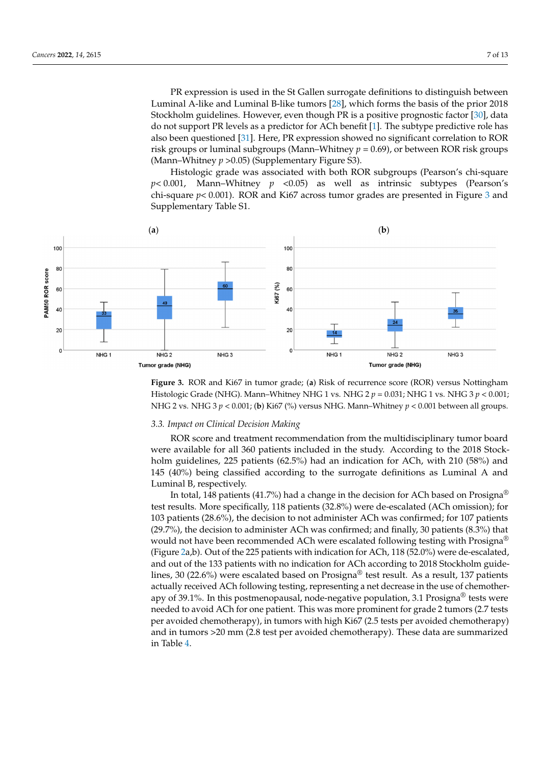PR expression is used in the St Gallen surrogate definitions to distinguish between Luminal A-like and Luminal B-like tumors [\[28\]](#page-11-8), which forms the basis of the prior  $2018$ Stockholm guidelines. However, even though PR is a positive prognostic factor [\[30\]](#page-11-10), data do not support PR levels as a predictor for ACh benefit [\[1\]](#page-10-0). The subtype predictive role has also been questioned [\[31\]](#page-11-11). Here, PR expression showed no significant correlation to ROR risk groups or luminal subgroups (Mann–Whitney  $p = 0.69$ ), or between ROR risk groups (Mann–Whitney  $p > 0.05$ ) (Supplementary Figure S3).

<span id="page-6-0"></span>Histologic grade was associated with both ROR subgroups (Pearson's chi-square *p*< 0.001, Mann–Whitney *p* <0.05) as well as intrinsic subtypes (Pearson's chi-square *p*< 0.[001](#page-6-0)). ROR and Ki67 across tumor grades are presented in Figure 3 and Supplementary Table S1.



**Figure 3.** ROR and Ki67 in tumor grade; (a) Risk of recurrence score (ROR) versus Nottingham Histologic Grade (NHG). Mann–Whitney NHG 1 vs. NHG 2  $p = 0.031$ ; NHG 1 vs. NHG 3  $p < 0.001$ ; NHG 2 vs. NHG 3  $p < 0.001$ ; (b) Ki67 (%) versus NHG. Mann-Whitney  $p < 0.001$  between all groups.

#### *3.3. Impact on Clinical Decision Making 3.3. Impact on Clinical Decision Making*

ROR score and treatment recommendation from the multidisciplinary tumor board ROR score and treatment recommendation from the multidisciplinary tumor board were available for all 360 patients included in the study. According to the 2018 Stockholm guidelines, 225 patients (62.5%) had an indication for ACh, with 210 (58%) and 145 (40%) being classified according to the surrogate definitions as Luminal A and Luminal B, respectively.

In total, 148 patients (41.7%) had a change in the decision for ACh based on Prosigna**®** In total, 148 patients (41.7%) had a change in the decision for ACh based on Prosigna® test results. More specifically, 118 patients (32.8%) were de‐escalated (ACh omission); for test results. More specifically, 118 patients (32.8%) were de-escalated (ACh omission); for 103 patients (28.6%), the decision to not administer ACh was confirmed; for 107 patients 103 patients (28.6%), the decision to not administer ACh was confirmed; for 107 patients (29.7%), the decision to administer ACh was confirmed; and finally, 30 patients (8.3%) that (29.7%), the decision to administer ACh was confirmed; and finally, 30 patients (8.3%) that would not have been recommended ACh were escalated following testing with Prosigna**®** would not have been recommended ACh were escalated following testing with Prosigna® (Figure [2a](#page-5-1),b). Out of the 225 patients with indication for ACh, 118 (52.0%) were de-escalated, and out of the 133 patients with no indication for ACh according to 2018 Stockholm guidelines, 30 (22.6%) were escalated based on Prosigna<sup>®</sup> test result. As a result, 137 patients actually received ACh following testing, representing a net decrease in the use of chemotherapy of 39.1%. In this postmenopausal, node-negative population, 3.1 Prosigna<sup>®</sup> tests were needed to avoid ACh for one patient. This was more prominent for grade 2 tumors (2.7 tests per avoided chemotherapy), in tumors with high Ki67 (2.5 tests per avoided chemotherapy) and in tumors >20 mm (2.8 test per avoided chemotherapy). These data are summarized in Table 4.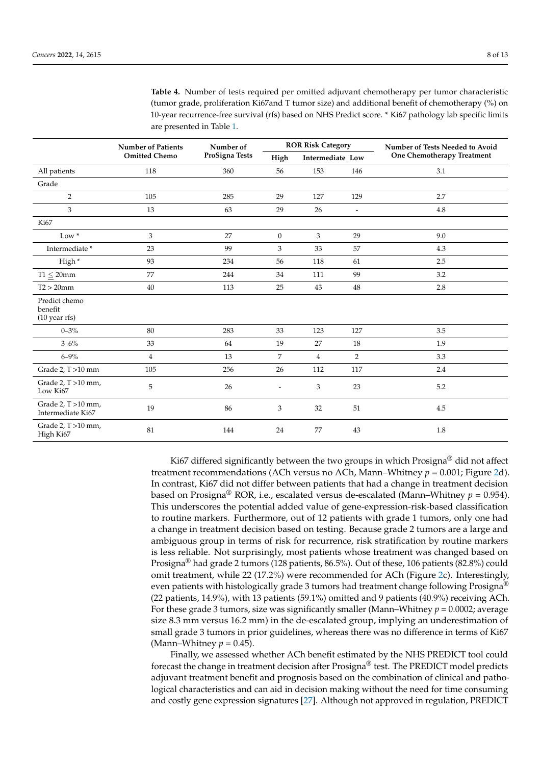|                                             | <b>Number of Patients</b> | Number of      | <b>ROR Risk Category</b> |                  |                          | Number of Tests Needed to Avoid<br>One Chemotherapy Treatment |
|---------------------------------------------|---------------------------|----------------|--------------------------|------------------|--------------------------|---------------------------------------------------------------|
|                                             | <b>Omitted Chemo</b>      | ProSigna Tests | High                     | Intermediate Low |                          |                                                               |
| All patients                                | 118                       | 360            | 56                       | 153              | 146                      | 3.1                                                           |
| Grade                                       |                           |                |                          |                  |                          |                                                               |
| $\overline{2}$                              | 105                       | 285            | 29                       | 127              | 129                      | 2.7                                                           |
| 3                                           | 13                        | 63             | 29                       | 26               | $\overline{\phantom{a}}$ | 4.8                                                           |
| Ki67                                        |                           |                |                          |                  |                          |                                                               |
| $Low *$                                     | 3                         | 27             | $\overline{0}$           | 3                | 29                       | 9.0                                                           |
| Intermediate*                               | 23                        | 99             | 3                        | 33               | 57                       | 4.3                                                           |
| High*                                       | 93                        | 234            | 56                       | 118              | 61                       | 2.5                                                           |
| $T1\leq 20mm$                               | 77                        | 244            | 34                       | 111              | 99                       | 3.2                                                           |
| $T2 > 20$ mm                                | 40                        | 113            | 25                       | 43               | 48                       | 2.8                                                           |
| Predict chemo<br>benefit<br>$(10$ year rfs) |                           |                |                          |                  |                          |                                                               |
| $0 - 3\%$                                   | 80                        | 283            | 33                       | 123              | 127                      | 3.5                                                           |
| $3 - 6\%$                                   | 33                        | 64             | 19                       | 27               | 18                       | 1.9                                                           |
| $6 - 9\%$                                   | $\overline{4}$            | 13             | $\overline{7}$           | $\overline{4}$   | $\overline{2}$           | 3.3                                                           |
| Grade 2, T > 10 mm                          | 105                       | 256            | 26                       | 112              | 117                      | 2.4                                                           |
| Grade 2, T > 10 mm,<br>Low Ki67             | 5                         | 26             | $\overline{a}$           | 3                | 23                       | 5.2                                                           |
| Grade 2, T > 10 mm,<br>Intermediate Ki67    | 19                        | 86             | 3                        | 32               | 51                       | 4.5                                                           |
| Grade 2, T > 10 mm,<br>High Ki67            | 81                        | 144            | 24                       | 77               | 43                       | 1.8                                                           |

<span id="page-7-0"></span>**Table 4.** Number of tests required per omitted adjuvant chemotherapy per tumor characteristic (tumor grade, proliferation Ki67and T tumor size) and additional benefit of chemotherapy (%) on 10-year recurrence-free survival (rfs) based on NHS Predict score. \* Ki67 pathology lab specific limits are presented in Table [1.](#page-2-0)

Ki67 differed significantly between the two groups in which Prosigna® did not affect treatment recommendations (ACh versus no ACh, Mann–Whitney  $p = 0.001$ ; Figure [2d](#page-5-1)). In contrast, Ki67 did not differ between patients that had a change in treatment decision based on Prosigna<sup>®</sup> ROR, i.e., escalated versus de-escalated (Mann–Whitney  $p = 0.954$ ). This underscores the potential added value of gene-expression-risk-based classification to routine markers. Furthermore, out of 12 patients with grade 1 tumors, only one had a change in treatment decision based on testing. Because grade 2 tumors are a large and ambiguous group in terms of risk for recurrence, risk stratification by routine markers is less reliable. Not surprisingly, most patients whose treatment was changed based on Prosigna® had grade 2 tumors (128 patients, 86.5%). Out of these, 106 patients (82.8%) could omit treatment, while 22 (17.2%) were recommended for ACh (Figure [2c](#page-5-1)). Interestingly, even patients with histologically grade 3 tumors had treatment change following Prosigna® (22 patients, 14.9%), with 13 patients (59.1%) omitted and 9 patients (40.9%) receiving ACh. For these grade 3 tumors, size was significantly smaller (Mann–Whitney *p* = 0.0002; average size 8.3 mm versus 16.2 mm) in the de-escalated group, implying an underestimation of small grade 3 tumors in prior guidelines, whereas there was no difference in terms of Ki67 (Mann–Whitney  $p = 0.45$ ).

Finally, we assessed whether ACh benefit estimated by the NHS PREDICT tool could forecast the change in treatment decision after Prosigna® test. The PREDICT model predicts adjuvant treatment benefit and prognosis based on the combination of clinical and pathological characteristics and can aid in decision making without the need for time consuming and costly gene expression signatures [\[27\]](#page-11-7). Although not approved in regulation, PREDICT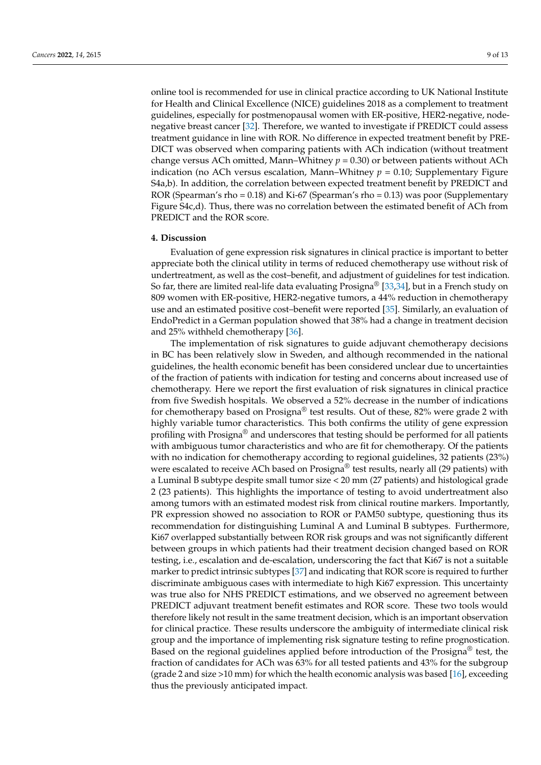online tool is recommended for use in clinical practice according to UK National Institute for Health and Clinical Excellence (NICE) guidelines 2018 as a complement to treatment guidelines, especially for postmenopausal women with ER-positive, HER2-negative, nodenegative breast cancer [\[32\]](#page-11-12). Therefore, we wanted to investigate if PREDICT could assess treatment guidance in line with ROR. No difference in expected treatment benefit by PRE-DICT was observed when comparing patients with ACh indication (without treatment change versus ACh omitted, Mann–Whitney *p* = 0.30) or between patients without ACh indication (no ACh versus escalation, Mann–Whitney  $p = 0.10$ ; Supplementary Figure S4a,b). In addition, the correlation between expected treatment benefit by PREDICT and ROR (Spearman's rho = 0.18) and Ki-67 (Spearman's rho = 0.13) was poor (Supplementary Figure S4c,d). Thus, there was no correlation between the estimated benefit of ACh from PREDICT and the ROR score.

# **4. Discussion**

Evaluation of gene expression risk signatures in clinical practice is important to better appreciate both the clinical utility in terms of reduced chemotherapy use without risk of undertreatment, as well as the cost–benefit, and adjustment of guidelines for test indication. So far, there are limited real-life data evaluating Prosigna<sup>®</sup> [\[33,](#page-11-13)[34\]](#page-11-14), but in a French study on 809 women with ER-positive, HER2-negative tumors, a 44% reduction in chemotherapy use and an estimated positive cost–benefit were reported [\[35\]](#page-11-15). Similarly, an evaluation of EndoPredict in a German population showed that 38% had a change in treatment decision and 25% withheld chemotherapy [\[36\]](#page-11-16).

The implementation of risk signatures to guide adjuvant chemotherapy decisions in BC has been relatively slow in Sweden, and although recommended in the national guidelines, the health economic benefit has been considered unclear due to uncertainties of the fraction of patients with indication for testing and concerns about increased use of chemotherapy. Here we report the first evaluation of risk signatures in clinical practice from five Swedish hospitals. We observed a 52% decrease in the number of indications for chemotherapy based on Prosigna® test results. Out of these, 82% were grade 2 with highly variable tumor characteristics. This both confirms the utility of gene expression profiling with Prosigna<sup>®</sup> and underscores that testing should be performed for all patients with ambiguous tumor characteristics and who are fit for chemotherapy. Of the patients with no indication for chemotherapy according to regional guidelines, 32 patients (23%) were escalated to receive ACh based on Prosigna<sup>®</sup> test results, nearly all (29 patients) with a Luminal B subtype despite small tumor size < 20 mm (27 patients) and histological grade 2 (23 patients). This highlights the importance of testing to avoid undertreatment also among tumors with an estimated modest risk from clinical routine markers. Importantly, PR expression showed no association to ROR or PAM50 subtype, questioning thus its recommendation for distinguishing Luminal A and Luminal B subtypes. Furthermore, Ki67 overlapped substantially between ROR risk groups and was not significantly different between groups in which patients had their treatment decision changed based on ROR testing, i.e., escalation and de-escalation, underscoring the fact that Ki67 is not a suitable marker to predict intrinsic subtypes [\[37\]](#page-11-17) and indicating that ROR score is required to further discriminate ambiguous cases with intermediate to high Ki67 expression. This uncertainty was true also for NHS PREDICT estimations, and we observed no agreement between PREDICT adjuvant treatment benefit estimates and ROR score. These two tools would therefore likely not result in the same treatment decision, which is an important observation for clinical practice. These results underscore the ambiguity of intermediate clinical risk group and the importance of implementing risk signature testing to refine prognostication. Based on the regional guidelines applied before introduction of the Prosigna $^{\circledR}$  test, the fraction of candidates for ACh was 63% for all tested patients and 43% for the subgroup (grade 2 and size  $>10$  mm) for which the health economic analysis was based [\[16\]](#page-10-11), exceeding thus the previously anticipated impact.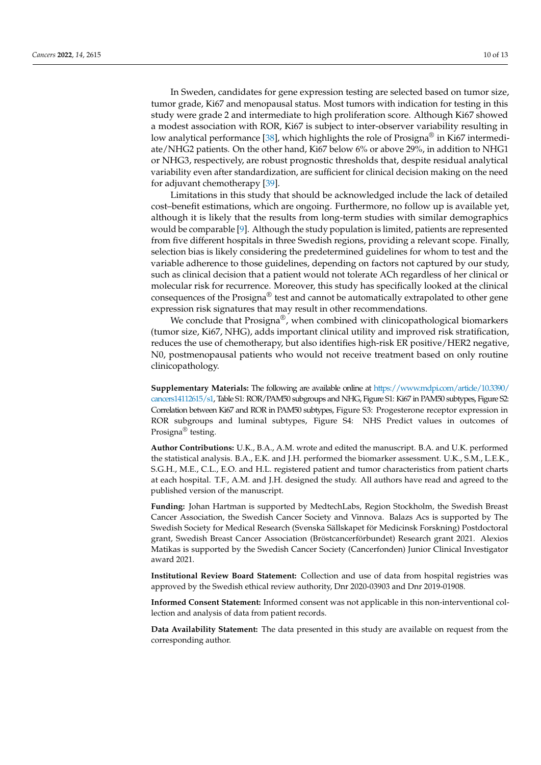In Sweden, candidates for gene expression testing are selected based on tumor size, tumor grade, Ki67 and menopausal status. Most tumors with indication for testing in this study were grade 2 and intermediate to high proliferation score. Although Ki67 showed a modest association with ROR, Ki67 is subject to inter-observer variability resulting in low analytical performance [\[38\]](#page-12-0), which highlights the role of Prosigna<sup>®</sup> in Ki67 intermediate/NHG2 patients. On the other hand, Ki67 below 6% or above 29%, in addition to NHG1 or NHG3, respectively, are robust prognostic thresholds that, despite residual analytical variability even after standardization, are sufficient for clinical decision making on the need for adjuvant chemotherapy [\[39\]](#page-12-1).

Limitations in this study that should be acknowledged include the lack of detailed cost–benefit estimations, which are ongoing. Furthermore, no follow up is available yet, although it is likely that the results from long-term studies with similar demographics would be comparable [\[9\]](#page-10-5). Although the study population is limited, patients are represented from five different hospitals in three Swedish regions, providing a relevant scope. Finally, selection bias is likely considering the predetermined guidelines for whom to test and the variable adherence to those guidelines, depending on factors not captured by our study, such as clinical decision that a patient would not tolerate ACh regardless of her clinical or molecular risk for recurrence. Moreover, this study has specifically looked at the clinical consequences of the Prosigna $^{\circledR}$  test and cannot be automatically extrapolated to other gene expression risk signatures that may result in other recommendations.

We conclude that Prosigna®, when combined with clinicopathological biomarkers (tumor size, Ki67, NHG), adds important clinical utility and improved risk stratification, reduces the use of chemotherapy, but also identifies high-risk ER positive/HER2 negative, N0, postmenopausal patients who would not receive treatment based on only routine clinicopathology.

**Supplementary Materials:** The following are available online at [https://www.mdpi.com/article/10.3390/](https://www.mdpi.com/article/10.3390/cancers14112615/s1) [cancers14112615/s1,](https://www.mdpi.com/article/10.3390/cancers14112615/s1) Table S1: ROR/PAM50 subgroups and NHG, Figure S1: Ki67 in PAM50 subtypes, Figure S2: Correlation between Ki67 and ROR in PAM50 subtypes, Figure S3: Progesterone receptor expression in ROR subgroups and luminal subtypes, Figure S4: NHS Predict values in outcomes of Prosigna® testing.

**Author Contributions:** U.K., B.A., A.M. wrote and edited the manuscript. B.A. and U.K. performed the statistical analysis. B.A., E.K. and J.H. performed the biomarker assessment. U.K., S.M., L.E.K., S.G.H., M.E., C.L., E.O. and H.L. registered patient and tumor characteristics from patient charts at each hospital. T.F., A.M. and J.H. designed the study. All authors have read and agreed to the published version of the manuscript.

**Funding:** Johan Hartman is supported by MedtechLabs, Region Stockholm, the Swedish Breast Cancer Association, the Swedish Cancer Society and Vinnova. Balazs Acs is supported by The Swedish Society for Medical Research (Svenska Sällskapet för Medicinsk Forskning) Postdoctoral grant, Swedish Breast Cancer Association (Bröstcancerförbundet) Research grant 2021. Alexios Matikas is supported by the Swedish Cancer Society (Cancerfonden) Junior Clinical Investigator award 2021.

**Institutional Review Board Statement:** Collection and use of data from hospital registries was approved by the Swedish ethical review authority, Dnr 2020-03903 and Dnr 2019-01908.

**Informed Consent Statement:** Informed consent was not applicable in this non-interventional collection and analysis of data from patient records.

**Data Availability Statement:** The data presented in this study are available on request from the corresponding author.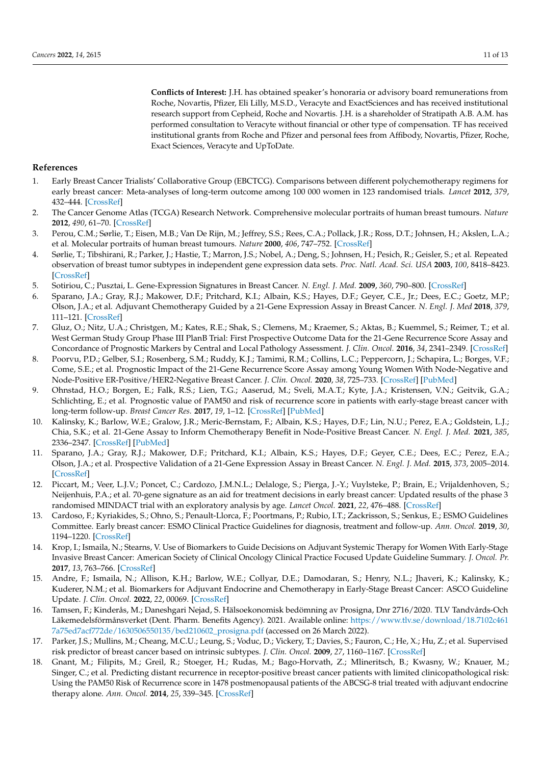**Conflicts of Interest:** J.H. has obtained speaker's honoraria or advisory board remunerations from Roche, Novartis, Pfizer, Eli Lilly, M.S.D., Veracyte and ExactSciences and has received institutional research support from Cepheid, Roche and Novartis. J.H. is a shareholder of Stratipath A.B. A.M. has performed consultation to Veracyte without financial or other type of compensation. TF has received institutional grants from Roche and Pfizer and personal fees from Affibody, Novartis, Pfizer, Roche, Exact Sciences, Veracyte and UpToDate.

#### **References**

- <span id="page-10-0"></span>1. Early Breast Cancer Trialists' Collaborative Group (EBCTCG). Comparisons between different polychemotherapy regimens for early breast cancer: Meta-analyses of long-term outcome among 100 000 women in 123 randomised trials. *Lancet* **2012**, *379*, 432–444. [\[CrossRef\]](http://doi.org/10.1016/S0140-6736(11)61625-5)
- <span id="page-10-1"></span>2. The Cancer Genome Atlas (TCGA) Research Network. Comprehensive molecular portraits of human breast tumours. *Nature* **2012**, *490*, 61–70. [\[CrossRef\]](http://doi.org/10.1038/nature11412)
- 3. Perou, C.M.; Sørlie, T.; Eisen, M.B.; Van De Rijn, M.; Jeffrey, S.S.; Rees, C.A.; Pollack, J.R.; Ross, D.T.; Johnsen, H.; Akslen, L.A.; et al. Molecular portraits of human breast tumours. *Nature* **2000**, *406*, 747–752. [\[CrossRef\]](http://doi.org/10.1038/35021093)
- <span id="page-10-2"></span>4. Sørlie, T.; Tibshirani, R.; Parker, J.; Hastie, T.; Marron, J.S.; Nobel, A.; Deng, S.; Johnsen, H.; Pesich, R.; Geisler, S.; et al. Repeated observation of breast tumor subtypes in independent gene expression data sets. *Proc. Natl. Acad. Sci. USA* **2003**, *100*, 8418–8423. [\[CrossRef\]](http://doi.org/10.1073/pnas.0932692100)
- <span id="page-10-3"></span>5. Sotiriou, C.; Pusztai, L. Gene-Expression Signatures in Breast Cancer. *N. Engl. J. Med.* **2009**, *360*, 790–800. [\[CrossRef\]](http://doi.org/10.1056/NEJMra0801289)
- <span id="page-10-4"></span>6. Sparano, J.A.; Gray, R.J.; Makower, D.F.; Pritchard, K.I.; Albain, K.S.; Hayes, D.F.; Geyer, C.E., Jr.; Dees, E.C.; Goetz, M.P.; Olson, J.A.; et al. Adjuvant Chemotherapy Guided by a 21-Gene Expression Assay in Breast Cancer. *N. Engl. J. Med* **2018**, *379*, 111–121. [\[CrossRef\]](http://doi.org/10.1056/NEJMoa1804710)
- <span id="page-10-8"></span>7. Gluz, O.; Nitz, U.A.; Christgen, M.; Kates, R.E.; Shak, S.; Clemens, M.; Kraemer, S.; Aktas, B.; Kuemmel, S.; Reimer, T.; et al. West German Study Group Phase III PlanB Trial: First Prospective Outcome Data for the 21-Gene Recurrence Score Assay and Concordance of Prognostic Markers by Central and Local Pathology Assessment. *J. Clin. Oncol.* **2016**, *34*, 2341–2349. [\[CrossRef\]](http://doi.org/10.1200/JCO.2015.63.5383)
- 8. Poorvu, P.D.; Gelber, S.I.; Rosenberg, S.M.; Ruddy, K.J.; Tamimi, R.M.; Collins, L.C.; Peppercorn, J.; Schapira, L.; Borges, V.F.; Come, S.E.; et al. Prognostic Impact of the 21-Gene Recurrence Score Assay among Young Women With Node-Negative and Node-Positive ER-Positive/HER2-Negative Breast Cancer. *J. Clin. Oncol.* **2020**, *38*, 725–733. [\[CrossRef\]](http://doi.org/10.1200/JCO.19.01959) [\[PubMed\]](http://www.ncbi.nlm.nih.gov/pubmed/31809240)
- <span id="page-10-5"></span>9. Ohnstad, H.O.; Borgen, E.; Falk, R.S.; Lien, T.G.; Aaserud, M.; Sveli, M.A.T.; Kyte, J.A.; Kristensen, V.N.; Geitvik, G.A.; Schlichting, E.; et al. Prognostic value of PAM50 and risk of recurrence score in patients with early-stage breast cancer with long-term follow-up. *Breast Cancer Res.* **2017**, *19*, 1–12. [\[CrossRef\]](http://doi.org/10.1186/s13058-017-0911-9) [\[PubMed\]](http://www.ncbi.nlm.nih.gov/pubmed/29137653)
- <span id="page-10-6"></span>10. Kalinsky, K.; Barlow, W.E.; Gralow, J.R.; Meric-Bernstam, F.; Albain, K.S.; Hayes, D.F.; Lin, N.U.; Perez, E.A.; Goldstein, L.J.; Chia, S.K.; et al. 21-Gene Assay to Inform Chemotherapy Benefit in Node-Positive Breast Cancer. *N. Engl. J. Med.* **2021**, *385*, 2336–2347. [\[CrossRef\]](http://doi.org/10.1056/NEJMoa2108873) [\[PubMed\]](http://www.ncbi.nlm.nih.gov/pubmed/34914339)
- 11. Sparano, J.A.; Gray, R.J.; Makower, D.F.; Pritchard, K.I.; Albain, K.S.; Hayes, D.F.; Geyer, C.E.; Dees, E.C.; Perez, E.A.; Olson, J.A.; et al. Prospective Validation of a 21-Gene Expression Assay in Breast Cancer. *N. Engl. J. Med.* **2015**, *373*, 2005–2014. [\[CrossRef\]](http://doi.org/10.1056/NEJMoa1510764)
- <span id="page-10-7"></span>12. Piccart, M.; Veer, L.J.V.; Poncet, C.; Cardozo, J.M.N.L.; Delaloge, S.; Pierga, J.-Y.; Vuylsteke, P.; Brain, E.; Vrijaldenhoven, S.; Neijenhuis, P.A.; et al. 70-gene signature as an aid for treatment decisions in early breast cancer: Updated results of the phase 3 randomised MINDACT trial with an exploratory analysis by age. *Lancet Oncol.* **2021**, *22*, 476–488. [\[CrossRef\]](http://doi.org/10.1016/S1470-2045(21)00007-3)
- <span id="page-10-9"></span>13. Cardoso, F.; Kyriakides, S.; Ohno, S.; Penault-Llorca, F.; Poortmans, P.; Rubio, I.T.; Zackrisson, S.; Senkus, E.; ESMO Guidelines Committee. Early breast cancer: ESMO Clinical Practice Guidelines for diagnosis, treatment and follow-up. *Ann. Oncol.* **2019**, *30*, 1194–1220. [\[CrossRef\]](http://doi.org/10.1093/annonc/mdz173)
- 14. Krop, I.; Ismaila, N.; Stearns, V. Use of Biomarkers to Guide Decisions on Adjuvant Systemic Therapy for Women With Early-Stage Invasive Breast Cancer: American Society of Clinical Oncology Clinical Practice Focused Update Guideline Summary. *J. Oncol. Pr.* **2017**, *13*, 763–766. [\[CrossRef\]](http://doi.org/10.1200/JOP.2017.024646)
- <span id="page-10-10"></span>15. Andre, F.; Ismaila, N.; Allison, K.H.; Barlow, W.E.; Collyar, D.E.; Damodaran, S.; Henry, N.L.; Jhaveri, K.; Kalinsky, K.; Kuderer, N.M.; et al. Biomarkers for Adjuvant Endocrine and Chemotherapy in Early-Stage Breast Cancer: ASCO Guideline Update. *J. Clin. Oncol.* **2022**, *22*, 00069. [\[CrossRef\]](http://doi.org/10.1200/JCO.22.00069)
- <span id="page-10-11"></span>16. Tamsen, F.; Kinderås, M.; Daneshgari Nejad, S. Hälsoekonomisk bedömning av Prosigna, Dnr 2716/2020. TLV Tandvårds-Och Läkemedelsförmånsverket (Dent. Pharm. Benefits Agency). 2021. Available online: [https://www.tlv.se/download/18.7102c461](https://www.tlv.se/download/18.7102c4617a75ed7acf772de/1630506550135/bed210602_prosigna.pdf) [7a75ed7acf772de/1630506550135/bed210602\\_prosigna.pdf](https://www.tlv.se/download/18.7102c4617a75ed7acf772de/1630506550135/bed210602_prosigna.pdf) (accessed on 26 March 2022).
- <span id="page-10-12"></span>17. Parker, J.S.; Mullins, M.; Cheang, M.C.U.; Leung, S.; Voduc, D.; Vickery, T.; Davies, S.; Fauron, C.; He, X.; Hu, Z.; et al. Supervised risk predictor of breast cancer based on intrinsic subtypes. *J. Clin. Oncol.* **2009**, *27*, 1160–1167. [\[CrossRef\]](http://doi.org/10.1200/JCO.2008.18.1370)
- 18. Gnant, M.; Filipits, M.; Greil, R.; Stoeger, H.; Rudas, M.; Bago-Horvath, Z.; Mlineritsch, B.; Kwasny, W.; Knauer, M.; Singer, C.; et al. Predicting distant recurrence in receptor-positive breast cancer patients with limited clinicopathological risk: Using the PAM50 Risk of Recurrence score in 1478 postmenopausal patients of the ABCSG-8 trial treated with adjuvant endocrine therapy alone. *Ann. Oncol.* **2014**, *25*, 339–345. [\[CrossRef\]](http://doi.org/10.1093/annonc/mdt494)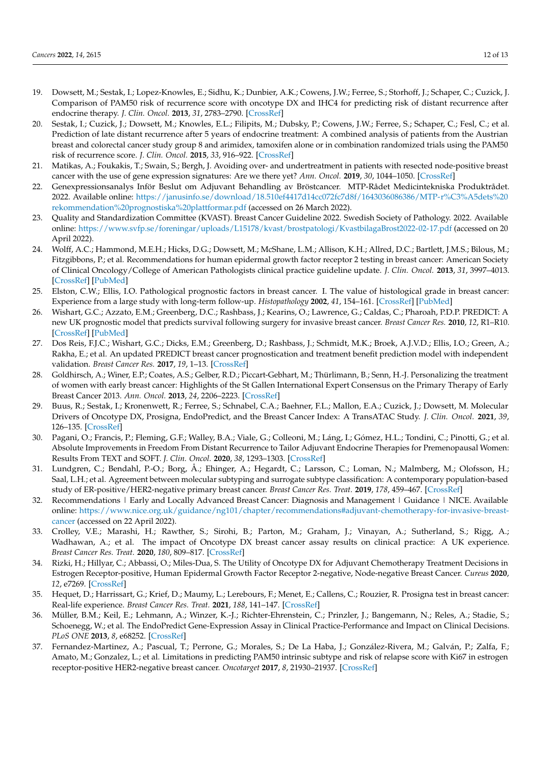- 19. Dowsett, M.; Sestak, I.; Lopez-Knowles, E.; Sidhu, K.; Dunbier, A.K.; Cowens, J.W.; Ferree, S.; Storhoff, J.; Schaper, C.; Cuzick, J. Comparison of PAM50 risk of recurrence score with oncotype DX and IHC4 for predicting risk of distant recurrence after endocrine therapy. *J. Clin. Oncol.* **2013**, *31*, 2783–2790. [\[CrossRef\]](http://doi.org/10.1200/JCO.2012.46.1558)
- <span id="page-11-0"></span>20. Sestak, I.; Cuzick, J.; Dowsett, M.; Knowles, E.L.; Filipits, M.; Dubsky, P.; Cowens, J.W.; Ferree, S.; Schaper, C.; Fesl, C.; et al. Prediction of late distant recurrence after 5 years of endocrine treatment: A combined analysis of patients from the Austrian breast and colorectal cancer study group 8 and arimidex, tamoxifen alone or in combination randomized trials using the PAM50 risk of recurrence score. *J. Clin. Oncol.* **2015**, *33*, 916–922. [\[CrossRef\]](http://doi.org/10.1200/JCO.2014.55.6894)
- <span id="page-11-1"></span>21. Matikas, A.; Foukakis, T.; Swain, S.; Bergh, J. Avoiding over- and undertreatment in patients with resected node-positive breast cancer with the use of gene expression signatures: Are we there yet? *Ann. Oncol.* **2019**, *30*, 1044–1050. [\[CrossRef\]](http://doi.org/10.1093/annonc/mdz126)
- <span id="page-11-2"></span>22. Genexpressionsanalys Inför Beslut om Adjuvant Behandling av Bröstcancer. MTP-Rådet Medicintekniska Produktrådet. 2022. Available online: [https://janusinfo.se/download/18.510ef4417d14cc072fc7d8f/1643036086386/MTP-r%C3%A5dets%20](https://janusinfo.se/download/18.510ef4417d14cc072fc7d8f/1643036086386/MTP-r%C3%A5dets%20rekommendation%20prognostiska%20plattformar.pdf) [rekommendation%20prognostiska%20plattformar.pdf](https://janusinfo.se/download/18.510ef4417d14cc072fc7d8f/1643036086386/MTP-r%C3%A5dets%20rekommendation%20prognostiska%20plattformar.pdf) (accessed on 26 March 2022).
- <span id="page-11-3"></span>23. Quality and Standardization Committee (KVAST). Breast Cancer Guideline 2022. Swedish Society of Pathology. 2022. Available online: <https://www.svfp.se/foreningar/uploads/L15178/kvast/brostpatologi/KvastbilagaBrost2022-02-17.pdf> (accessed on 20 April 2022).
- <span id="page-11-4"></span>24. Wolff, A.C.; Hammond, M.E.H.; Hicks, D.G.; Dowsett, M.; McShane, L.M.; Allison, K.H.; Allred, D.C.; Bartlett, J.M.S.; Bilous, M.; Fitzgibbons, P.; et al. Recommendations for human epidermal growth factor receptor 2 testing in breast cancer: American Society of Clinical Oncology/College of American Pathologists clinical practice guideline update. *J. Clin. Oncol.* **2013**, *31*, 3997–4013. [\[CrossRef\]](http://doi.org/10.1200/JCO.2013.50.9984) [\[PubMed\]](http://www.ncbi.nlm.nih.gov/pubmed/24101045)
- <span id="page-11-5"></span>25. Elston, C.W.; Ellis, I.O. Pathological prognostic factors in breast cancer. I. The value of histological grade in breast cancer: Experience from a large study with long-term follow-up. *Histopathology* **2002**, *41*, 154–161. [\[CrossRef\]](http://doi.org/10.1111/j.1365-2559.1991.tb00229.x) [\[PubMed\]](http://www.ncbi.nlm.nih.gov/pubmed/12405947)
- <span id="page-11-6"></span>26. Wishart, G.C.; Azzato, E.M.; Greenberg, D.C.; Rashbass, J.; Kearins, O.; Lawrence, G.; Caldas, C.; Pharoah, P.D.P. PREDICT: A new UK prognostic model that predicts survival following surgery for invasive breast cancer. *Breast Cancer Res.* **2010**, *12*, R1–R10. [\[CrossRef\]](http://doi.org/10.1186/bcr2464) [\[PubMed\]](http://www.ncbi.nlm.nih.gov/pubmed/20053270)
- <span id="page-11-7"></span>27. Dos Reis, F.J.C.; Wishart, G.C.; Dicks, E.M.; Greenberg, D.; Rashbass, J.; Schmidt, M.K.; Broek, A.J.V.D.; Ellis, I.O.; Green, A.; Rakha, E.; et al. An updated PREDICT breast cancer prognostication and treatment benefit prediction model with independent validation. *Breast Cancer Res.* **2017**, *19*, 1–13. [\[CrossRef\]](http://doi.org/10.1186/s13058-017-0852-3)
- <span id="page-11-8"></span>28. Goldhirsch, A.; Winer, E.P.; Coates, A.S.; Gelber, R.D.; Piccart-Gebhart, M.; Thürlimann, B.; Senn, H.-J. Personalizing the treatment of women with early breast cancer: Highlights of the St Gallen International Expert Consensus on the Primary Therapy of Early Breast Cancer 2013. *Ann. Oncol.* **2013**, *24*, 2206–2223. [\[CrossRef\]](http://doi.org/10.1093/annonc/mdt303)
- <span id="page-11-9"></span>29. Buus, R.; Sestak, I.; Kronenwett, R.; Ferree, S.; Schnabel, C.A.; Baehner, F.L.; Mallon, E.A.; Cuzick, J.; Dowsett, M. Molecular Drivers of Oncotype DX, Prosigna, EndoPredict, and the Breast Cancer Index: A TransATAC Study. *J. Clin. Oncol.* **2021**, *39*, 126–135. [\[CrossRef\]](http://doi.org/10.1200/JCO.20.00853)
- <span id="page-11-10"></span>30. Pagani, O.; Francis, P.; Fleming, G.F.; Walley, B.A.; Viale, G.; Colleoni, M.; Láng, I.; Gómez, H.L.; Tondini, C.; Pinotti, G.; et al. Absolute Improvements in Freedom From Distant Recurrence to Tailor Adjuvant Endocrine Therapies for Premenopausal Women: Results From TEXT and SOFT. *J. Clin. Oncol.* **2020**, *38*, 1293–1303. [\[CrossRef\]](http://doi.org/10.1200/JCO.18.01967)
- <span id="page-11-11"></span>31. Lundgren, C.; Bendahl, P.-O.; Borg, Å.; Ehinger, A.; Hegardt, C.; Larsson, C.; Loman, N.; Malmberg, M.; Olofsson, H.; Saal, L.H.; et al. Agreement between molecular subtyping and surrogate subtype classification: A contemporary population-based study of ER-positive/HER2-negative primary breast cancer. *Breast Cancer Res. Treat.* **2019**, *178*, 459–467. [\[CrossRef\]](http://doi.org/10.1007/s10549-019-05378-7)
- <span id="page-11-12"></span>32. Recommendations | Early and Locally Advanced Breast Cancer: Diagnosis and Management | Guidance | NICE. Available online: [https://www.nice.org.uk/guidance/ng101/chapter/recommendations#adjuvant-chemotherapy-for-invasive-breast](https://www.nice.org.uk/guidance/ng101/chapter/recommendations#adjuvant-chemotherapy-for-invasive-breast-cancer)[cancer](https://www.nice.org.uk/guidance/ng101/chapter/recommendations#adjuvant-chemotherapy-for-invasive-breast-cancer) (accessed on 22 April 2022).
- <span id="page-11-13"></span>33. Crolley, V.E.; Marashi, H.; Rawther, S.; Sirohi, B.; Parton, M.; Graham, J.; Vinayan, A.; Sutherland, S.; Rigg, A.; Wadhawan, A.; et al. The impact of Oncotype DX breast cancer assay results on clinical practice: A UK experience. *Breast Cancer Res. Treat.* **2020**, *180*, 809–817. [\[CrossRef\]](http://doi.org/10.1007/s10549-020-05578-6)
- <span id="page-11-14"></span>34. Rizki, H.; Hillyar, C.; Abbassi, O.; Miles-Dua, S. The Utility of Oncotype DX for Adjuvant Chemotherapy Treatment Decisions in Estrogen Receptor-positive, Human Epidermal Growth Factor Receptor 2-negative, Node-negative Breast Cancer. *Cureus* **2020**, *12*, e7269. [\[CrossRef\]](http://doi.org/10.7759/cureus.7269)
- <span id="page-11-15"></span>35. Hequet, D.; Harrissart, G.; Krief, D.; Maumy, L.; Lerebours, F.; Menet, E.; Callens, C.; Rouzier, R. Prosigna test in breast cancer: Real-life experience. *Breast Cancer Res. Treat.* **2021**, *188*, 141–147. [\[CrossRef\]](http://doi.org/10.1007/s10549-021-06191-x)
- <span id="page-11-16"></span>36. Müller, B.M.; Keil, E.; Lehmann, A.; Winzer, K.-J.; Richter-Ehrenstein, C.; Prinzler, J.; Bangemann, N.; Reles, A.; Stadie, S.; Schoenegg, W.; et al. The EndoPredict Gene-Expression Assay in Clinical Practice-Performance and Impact on Clinical Decisions. *PLoS ONE* **2013**, *8*, e68252. [\[CrossRef\]](http://doi.org/10.1371/journal.pone.0068252)
- <span id="page-11-17"></span>37. Fernandez-Martinez, A.; Pascual, T.; Perrone, G.; Morales, S.; De La Haba, J.; González-Rivera, M.; Galván, P.; Zalfa, F.; Amato, M.; Gonzalez, L.; et al. Limitations in predicting PAM50 intrinsic subtype and risk of relapse score with Ki67 in estrogen receptor-positive HER2-negative breast cancer. *Oncotarget* **2017**, *8*, 21930–21937. [\[CrossRef\]](http://doi.org/10.18632/oncotarget.15748)